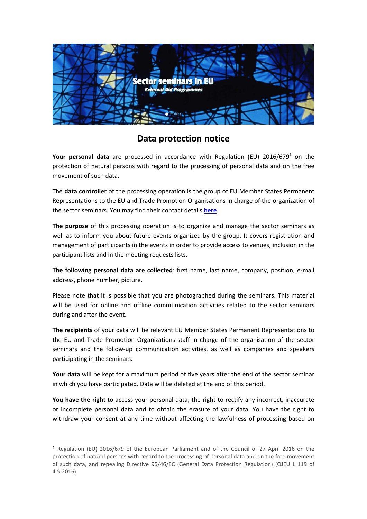

## **Data protection notice**

Your personal data are processed in accordance with Regulation (EU) 2016/679<sup>1</sup> on the protection of natural persons with regard to the processing of personal data and on the free movement of such data.

The **data controller** of the processing operation is the group of EU Member States Permanent Representations to the EU and Trade Promotion Organisations in charge of the organization of the sector seminars. You may find their contact details **here**.

**The purpose** of this processing operation is to organize and manage the sector seminars as well as to inform you about future events organized by the group. It covers registration and management of participants in the events in order to provide access to venues, inclusion in the participant lists and in the meeting requests lists.

**The following personal data are collected**: first name, last name, company, position, e-mail address, phone number, picture.

Please note that it is possible that you are photographed during the seminars. This material will be used for online and offline communication activities related to the sector seminars during and after the event.

**The recipients** of your data will be relevant EU Member States Permanent Representations to the EU and Trade Promotion Organizations staff in charge of the organisation of the sector seminars and the follow-up communication activities, as well as companies and speakers participating in the seminars.

**Your data** will be kept for a maximum period of five years after the end of the sector seminar in which you have participated. Data will be deleted at the end of this period.

**You have the right** to access your personal data, the right to rectify any incorrect, inaccurate or incomplete personal data and to obtain the erasure of your data. You have the right to withdraw your consent at any time without affecting the lawfulness of processing based on

<sup>&</sup>lt;sup>1</sup> Regulation (EU) 2016/679 of the European Parliament and of the Council of 27 April 2016 on the protection of natural persons with regard to the processing of personal data and on the free movement of such data, and repealing Directive 95/46/EC (General Data Protection Regulation) (OJEU L 119 of 4.5.2016)